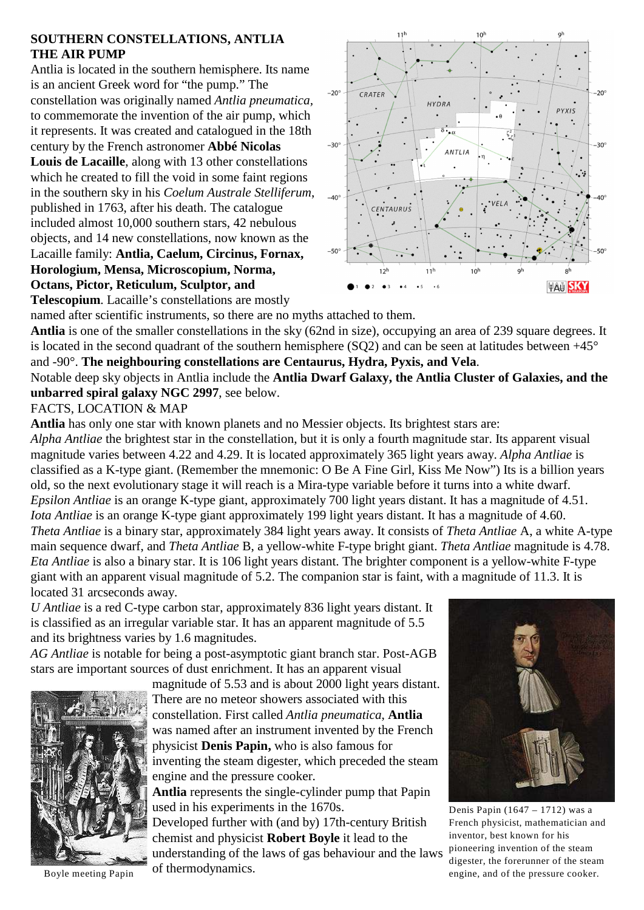## **SOUTHERN CONSTELLATIONS, ANTLIA THE AIR PUMP**

Antlia is located in the southern hemisphere. Its name is an ancient Greek word for "the pump." The constellation was originally named *Antlia pneumatica,* to commemorate the invention of the air pump, which it represents. It was created and catalogued in the 18th century by the French astronomer **Abbé Nicolas Louis de Lacaille**, along with 13 other constellations which he created to fill the void in some faint regions in the southern sky in his *Coelum Australe Stelliferum*, published in 1763, after his death. The catalogue included almost 10,000 southern stars, 42 nebulous objects, and 14 new constellations, now known as the Lacaille family: **Antlia, Caelum, Circinus, Fornax, Horologium, Mensa, Microscopium, Norma, Octans, Pictor, Reticulum, Sculptor, and**



**Telescopium**. Lacaille's constellations are mostly

named after scientific instruments, so there are no myths attached to them. **Antlia** is one of the smaller constellations in the sky (62nd in size), occupying an area of 239 square degrees. It is located in the second quadrant of the southern hemisphere (SQ2) and can be seen at latitudes between  $+45^{\circ}$ and -90°. **The neighbouring constellations are Centaurus, Hydra, Pyxis, and Vela**.

Notable deep sky objects in Antlia include the **Antlia Dwarf Galaxy, the Antlia Cluster of Galaxies, and the unbarred spiral galaxy NGC 2997**, see below.

## FACTS, LOCATION & MAP

**Antlia** has only one star with known planets and no Messier objects. Its brightest stars are:

*Alpha Antliae* the brightest star in the constellation, but it is only a fourth magnitude star. Its apparent visual magnitude varies between 4.22 and 4.29. It is located approximately 365 light years away. *Alpha Antliae* is classified as a K-type giant. (Remember the mnemonic: O Be A Fine Girl, Kiss Me Now") Its is a billion years old, so the next evolutionary stage it will reach is a Mira-type variable before it turns into a white dwarf. *Epsilon Antliae* is an orange K-type giant, approximately 700 light years distant. It has a magnitude of 4.51. *Iota Antliae* is an orange K-type giant approximately 199 light years distant. It has a magnitude of 4.60. *Theta Antliae* is a binary star, approximately 384 light years away. It consists of *Theta Antliae* A, a white A-type main sequence dwarf, and *Theta Antliae* B, a yellow-white F-type bright giant. *Theta Antliae* magnitude is 4.78. *Eta Antliae* is also a binary star. It is 106 light years distant. The brighter component is a yellow-white F-type giant with an apparent visual magnitude of 5.2. The companion star is faint, with a magnitude of 11.3. It is located 31 arcseconds away.

*U Antliae* is a red C-type carbon star, approximately 836 light years distant. It is classified as an irregular variable star. It has an apparent magnitude of 5.5 and its brightness varies by 1.6 magnitudes.

*AG Antliae* is notable for being a post-asymptotic giant branch star. Post-AGB stars are important sources of dust enrichment. It has an apparent visual



magnitude of 5.53 and is about 2000 light years distant. There are no meteor showers associated with this constellation. First called *Antlia pneumatica*, **Antlia** was named after an instrument invented by the French physicist **Denis Papin,** who is also famous for inventing the steam digester, which preceded the steam engine and the pressure cooker.

**Antlia** represents the single-cylinder pump that Papin used in his experiments in the 1670s.

Developed further with (and by) 17th-century British chemist and physicist **Robert Boyle** it lead to the understanding of the laws of gas behaviour and the laws Boyle meeting Papin of thermodynamics.



Denis Papin (1647 – 1712) was a French physicist, mathematician and inventor, best known for his pioneering invention of the steam digester, the forerunner of the steam engine, and of the pressure cooker.